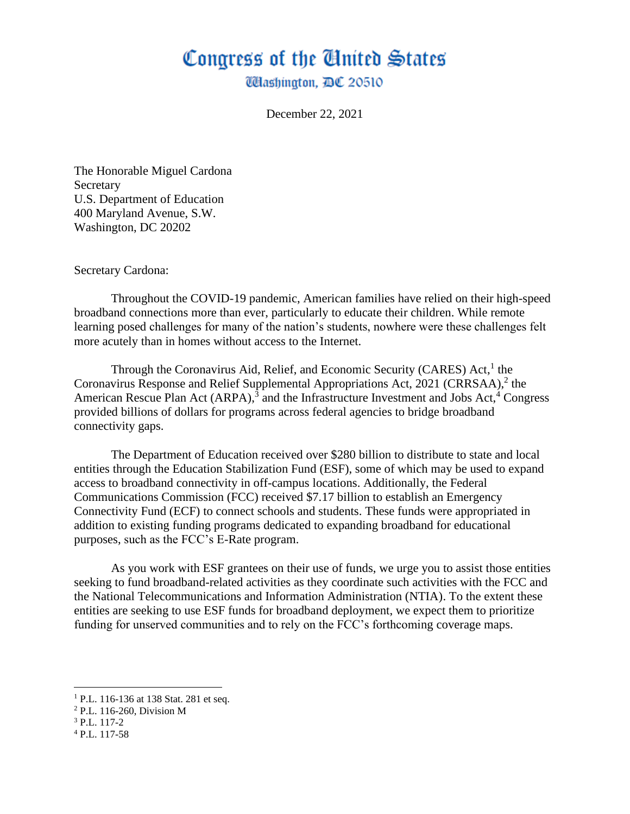## Congress of the Ginited States

**Washington, DC 20510** 

December 22, 2021

The Honorable Miguel Cardona **Secretary** U.S. Department of Education 400 Maryland Avenue, S.W. Washington, DC 20202

Secretary Cardona:

Throughout the COVID-19 pandemic, American families have relied on their high-speed broadband connections more than ever, particularly to educate their children. While remote learning posed challenges for many of the nation's students, nowhere were these challenges felt more acutely than in homes without access to the Internet.

Through the Coronavirus Aid, Relief, and Economic Security (CARES) Act,<sup>1</sup> the Coronavirus Response and Relief Supplemental Appropriations Act, 2021 (CRRSAA), 2 the American Rescue Plan Act  $(ARPA)$ ,<sup>3</sup> and the Infrastructure Investment and Jobs Act,<sup>4</sup> Congress provided billions of dollars for programs across federal agencies to bridge broadband connectivity gaps.

The Department of Education received over \$280 billion to distribute to state and local entities through the Education Stabilization Fund (ESF), some of which may be used to expand access to broadband connectivity in off-campus locations. Additionally, the Federal Communications Commission (FCC) received \$7.17 billion to establish an Emergency Connectivity Fund (ECF) to connect schools and students. These funds were appropriated in addition to existing funding programs dedicated to expanding broadband for educational purposes, such as the FCC's E-Rate program.

As you work with ESF grantees on their use of funds, we urge you to assist those entities seeking to fund broadband-related activities as they coordinate such activities with the FCC and the National Telecommunications and Information Administration (NTIA). To the extent these entities are seeking to use ESF funds for broadband deployment, we expect them to prioritize funding for unserved communities and to rely on the FCC's forthcoming coverage maps.

<sup>4</sup> P.L. 117-58

<sup>&</sup>lt;sup>1</sup> P.L. 116-136 at 138 Stat. 281 et seq.

<sup>2</sup> P.L. 116-260, Division M

<sup>3</sup> P.L. 117-2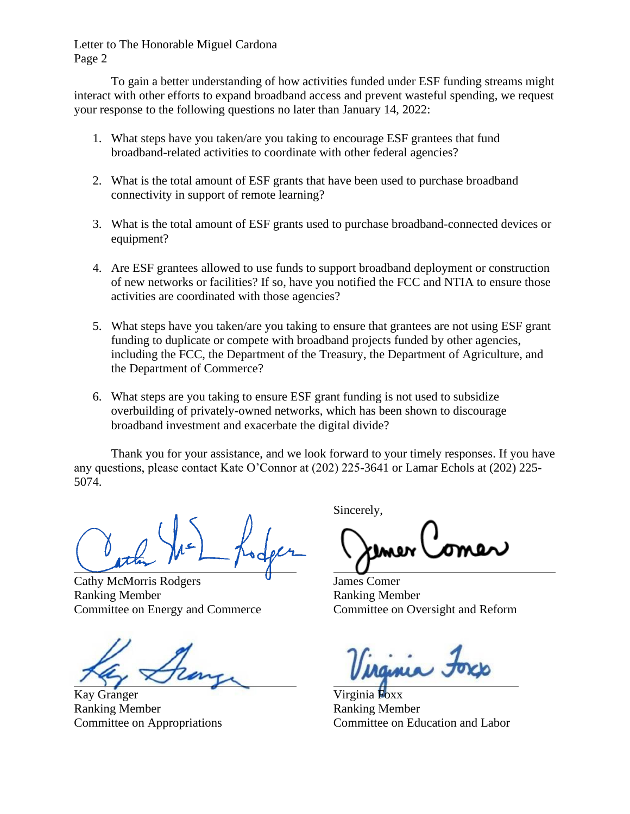Letter to The Honorable Miguel Cardona Page 2

To gain a better understanding of how activities funded under ESF funding streams might interact with other efforts to expand broadband access and prevent wasteful spending, we request your response to the following questions no later than January 14, 2022:

- 1. What steps have you taken/are you taking to encourage ESF grantees that fund broadband-related activities to coordinate with other federal agencies?
- 2. What is the total amount of ESF grants that have been used to purchase broadband connectivity in support of remote learning?
- 3. What is the total amount of ESF grants used to purchase broadband-connected devices or equipment?
- 4. Are ESF grantees allowed to use funds to support broadband deployment or construction of new networks or facilities? If so, have you notified the FCC and NTIA to ensure those activities are coordinated with those agencies?
- 5. What steps have you taken/are you taking to ensure that grantees are not using ESF grant funding to duplicate or compete with broadband projects funded by other agencies, including the FCC, the Department of the Treasury, the Department of Agriculture, and the Department of Commerce?
- 6. What steps are you taking to ensure ESF grant funding is not used to subsidize overbuilding of privately-owned networks, which has been shown to discourage broadband investment and exacerbate the digital divide?

Thank you for your assistance, and we look forward to your timely responses. If you have any questions, please contact Kate O'Connor at (202) 225-3641 or Lamar Echols at (202) 225- 5074.

Cathy McMorris Rodgers **U** James Comer Ranking Member **Ranking Member** Committee on Energy and Commerce Committee on Oversight and Reform

Kay Granger Virginia Foxx

Ranking Member Ranking Member

Sincerely,

Committee on Appropriations Committee on Education and Labor